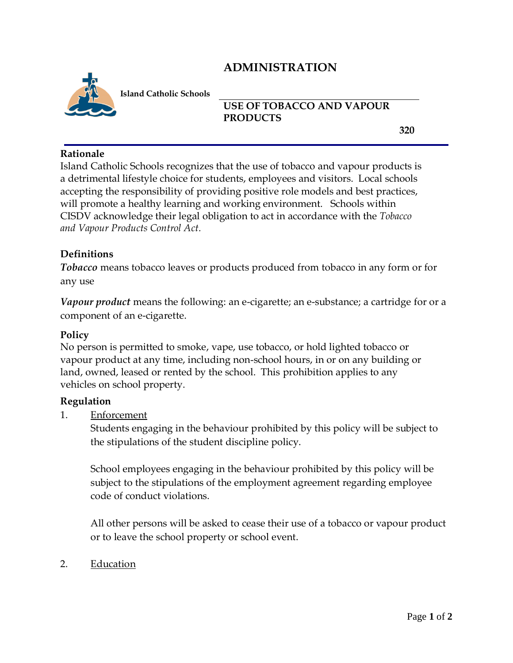# **ADMINISTRATION**



**Island Catholic Schools** 

## **USE OF TOBACCO AND VAPOUR PRODUCTS**

**320**

#### **Rationale**

Island Catholic Schools recognizes that the use of tobacco and vapour products is a detrimental lifestyle choice for students, employees and visitors. Local schools accepting the responsibility of providing positive role models and best practices, will promote a healthy learning and working environment. Schools within CISDV acknowledge their legal obligation to act in accordance with the *Tobacco and Vapour Products Control Act.*

## **Definitions**

*Tobacco* means tobacco leaves or products produced from tobacco in any form or for any use

*Vapour product* means the following: an e-cigarette; an e-substance; a cartridge for or a component of an e-cigarette.

## **Policy**

No person is permitted to smoke, vape, use tobacco, or hold lighted tobacco or vapour product at any time, including non-school hours, in or on any building or land, owned, leased or rented by the school. This prohibition applies to any vehicles on school property.

#### **Regulation**

1. Enforcement

Students engaging in the behaviour prohibited by this policy will be subject to the stipulations of the student discipline policy.

School employees engaging in the behaviour prohibited by this policy will be subject to the stipulations of the employment agreement regarding employee code of conduct violations.

All other persons will be asked to cease their use of a tobacco or vapour product or to leave the school property or school event.

2. Education